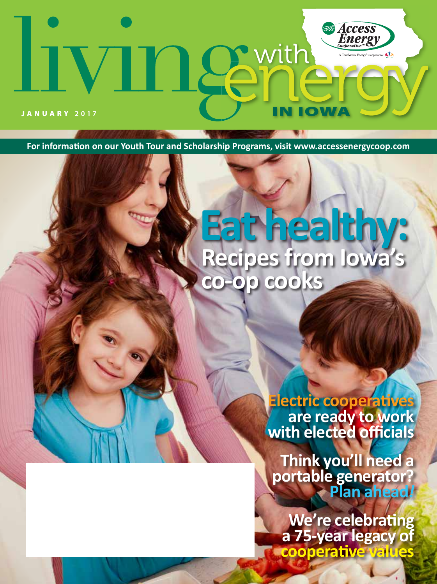# **Access**<br>*Energy* **newith** JANUARY **2017**

**For information on our Youth Tour and Scholarship Programs, visit www.accessenergycoop.com**

# **Eat healthy: Recipes from Iowa's co-op cooks**

**Electric cooperatives are ready to work with elected officials**

**Think you'll need a portable generator? Plan ahead***!*

**We're celebrating a 75-year legacy of cooperative values**

January 2017 **LIVING WITH ENERGY** IN IOWA **1**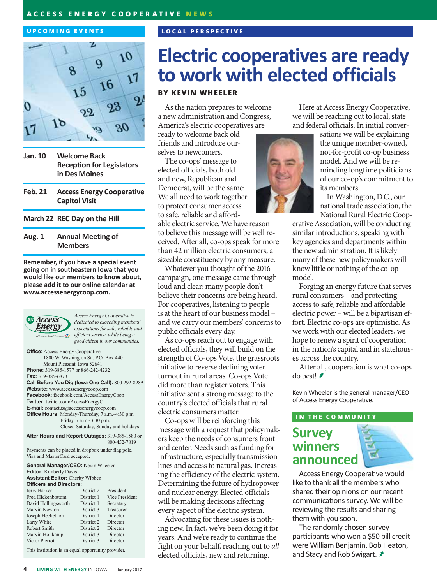### **ACCESS ENERGY COOPERATIVE NEWS**

#### **UPCOMING EVENTS**



- **Jan. 10 Welcome Back Reception for Legislators in Des Moines**
- **Feb. 21 Access Energy Cooperative Capitol Visit**
- **March 22 REC Day on the Hill**

### **Aug. 1 Annual Meeting of Members**

**Remember, if you have a special event going on in southeastern Iowa that you would like our members to know about, please add it to our online calendar at www.accessenergycoop.com.**



*Access Energy Cooperative is dedicated to exceeding members' expectations for safe, reliable and efficient service, while being a good citizen in our communities.*

**Office:** Access Energy Cooperative 1800 W. Washington St., P.O. Box 440 Mount Pleasant, Iowa 52641 **Phone:** 319-385-1577 or 866-242-4232 **Fax:** 319-385-6873 **Call Before You Dig (Iowa One Call):** 800-292-8989 **Website:** www.accessenergycoop.com **Facebook:** facebook.com/AccessEnergyCoop **Twitter:** twitter.com/AccessEnergyC **E-mail:** contactus@accessenergycoop.com **Office Hours:** Monday-Thursday, 7 a.m.-4:30 p.m. Friday, 7 a.m.-3:30 p.m. Closed Saturday, Sunday and holidays

**After Hours and Report Outages:** 319-385-1580 or 800-452-7819

Payments can be placed in dropbox under flag pole. Visa and MasterCard accepted.

| <b>General Manager/CEO:</b> Kevin Wheeler |            |                |
|-------------------------------------------|------------|----------------|
| <b>Editor:</b> Kimberly Davis             |            |                |
| <b>Assistant Editor:</b> Cherity Wibben   |            |                |
| <b>Officers and Directors:</b>            |            |                |
| Jerry Barker                              | District 2 | President      |
| Fred Hickenbottom                         | District 1 | Vice President |
| David Hollingsworth                       | District 1 | Secretary      |
| Marvin Newton                             | District 3 | Treasurer      |
| Joseph Heckethorn                         | District 1 | Director       |
| Larry White                               | District 2 | Director       |
| Robert Smith                              | District 2 | Director       |
| Marvin Holtkamp                           | District 3 | Director       |
| Victor Pierrot                            | District 3 | Director       |
|                                           |            |                |

This institution is an equal opportunity provider.

# **Electric cooperatives are ready to work with elected officials**

### **BY KEVIN WHEELER**

**LOCAL PERSPECTIVE**

As the nation prepares to welcome a new administration and Congress, America's electric cooperatives are

ready to welcome back old friends and introduce ourselves to newcomers.

The co-ops' message to elected officials, both old and new, Republican and Democrat, will be the same: We all need to work together to protect consumer access to safe, reliable and afford-

able electric service. We have reason to believe this message will be well received. After all, co-ops speak for more than 42 million electric consumers, a sizeable constituency by any measure.

Whatever you thought of the 2016 campaign, one message came through loud and clear: many people don't believe their concerns are being heard. For cooperatives, listening to people is at the heart of our business model – and we carry our members' concerns to public officials every day.

As co-ops reach out to engage with elected officials, they will build on the strength of Co-ops Vote, the grassroots initiative to reverse declining voter turnout in rural areas. Co-ops Vote did more than register voters. This initiative sent a strong message to the country's elected officials that rural electric consumers matter.

Co-ops will be reinforcing this message with a request that policymakers keep the needs of consumers front and center. Needs such as funding for infrastructure, especially transmission lines and access to natural gas. Increasing the efficiency of the electric system. Determining the future of hydropower and nuclear energy. Elected officials will be making decisions affecting every aspect of the electric system.

Advocating for these issues is nothing new. In fact, we've been doing it for years. And we're ready to continue the fight on your behalf, reaching out to *all* elected officials, new and returning.

Here at Access Energy Cooperative, we will be reaching out to local, state and federal officials. In initial conver-

sations we will be explaining the unique member-owned, not-for-profit co-op business model. And we will be reminding longtime politicians of our co-op's commitment to its members.

In Washington, D.C., our national trade association, the National Rural Electric Coop-

erative Association, will be conducting similar introductions, speaking with key agencies and departments within the new administration. It is likely many of these new policymakers will know little or nothing of the co-op model.

Forging an energy future that serves rural consumers – and protecting access to safe, reliable and affordable electric power – will be a bipartisan effort. Electric co-ops are optimistic. As we work with our elected leaders, we hope to renew a spirit of cooperation in the nation's capital and in statehouses across the country.

After all, cooperation is what co-ops do best!

Kevin Wheeler is the general manager/CEO of Access Energy Cooperative.

#### **IN THE COMMUNITY**

### **Survey winners announced**



Access Energy Cooperative would like to thank all the members who shared their opinions on our recent communications survey. We will be reviewing the results and sharing them with you soon.

The randomly chosen survey participants who won a \$50 bill credit were William Benjamin, Bob Heaton, and Stacy and Rob Swigart. **≢**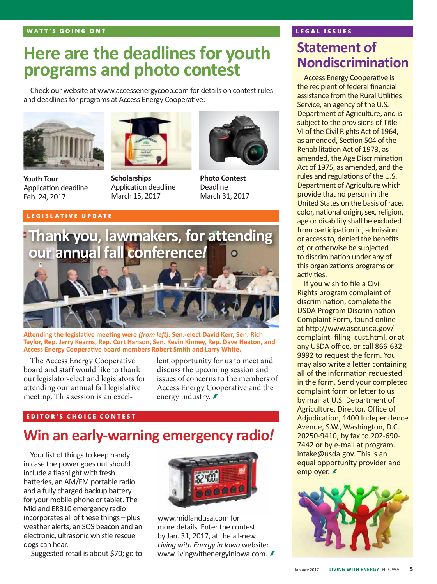## **Here are the deadlines for youth programs and photo contest**

Check our website at www.accessenergycoop.com for details on contest rules and deadlines for programs at Access Energy Cooperative:



**Youth Tour**  Application deadline Feb. 24, 2017

### **LEGISLATIVE UPDATE**



**Scholarships**  Application deadline March 15, 2017



**Photo Contest** Deadline March 31, 2017



**Attending the legislative meeting were** *(from left):* **Sen.-elect David Kerr, Sen. Rich Taylor, Rep. Jerry Kearns, Rep. Curt Hanson, Sen. Kevin Kinney, Rep. Dave Heaton, and Access Energy Cooperative board members Robert Smith and Larry White.**

The Access Energy Cooperative board and staff would like to thank our legislator-elect and legislators for attending our annual fall legislative meeting. This session is an excellent opportunity for us to meet and discuss the upcoming session and issues of concerns to the members of Access Energy Cooperative and the energy industry. *₹* 

### **EDITOR'S CHOICE CONTEST**

### **Win an early-warning emergency radio***!*

Your list of things to keep handy in case the power goes out should include a flashlight with fresh batteries, an AM/FM portable radio and a fully charged backup battery for your mobile phone or tablet. The Midland ER310 emergency radio incorporates all of these things – plus weather alerts, an SOS beacon and an electronic, ultrasonic whistle rescue dogs can hear.

Suggested retail is about \$70; go to



www.midlandusa.com for more details. Enter the contest by Jan. 31, 2017, at the all-new *Living with Energy in Iowa* website: www.livingwithenergyiniowa.com. €

### **LEGAL ISSUES**

### **Statement of Nondiscrimination**

Access Energy Cooperative is the recipient of federal financial assistance from the Rural Utilities Service, an agency of the U.S. Department of Agriculture, and is subject to the provisions of Title VI of the Civil Rights Act of 1964, as amended, Section 504 of the Rehabilitation Act of 1973, as amended, the Age Discrimination Act of 1975, as amended, and the rules and regulations of the U.S. Department of Agriculture which provide that no person in the United States on the basis of race, color, national origin, sex, religion, age or disability shall be excluded from participation in, admission or access to, denied the benefits of, or otherwise be subjected to discrimination under any of this organization's programs or activities.

If you wish to file a Civil Rights program complaint of discrimination, complete the USDA Program Discrimination Complaint Form, found online at http://www.ascr.usda.gov/ complaint\_filing\_cust.html, or at any USDA office, or call 866-632- 9992 to request the form. You may also write a letter containing all of the information requested in the form. Send your completed complaint form or letter to us by mail at U.S. Department of Agriculture, Director, Office of Adjudication, 1400 Independence Avenue, S.W., Washington, D.C. 20250-9410, by fax to 202-690- 7442 or by e-mail at program. intake@usda.gov. This is an equal opportunity provider and employer. *₹* 

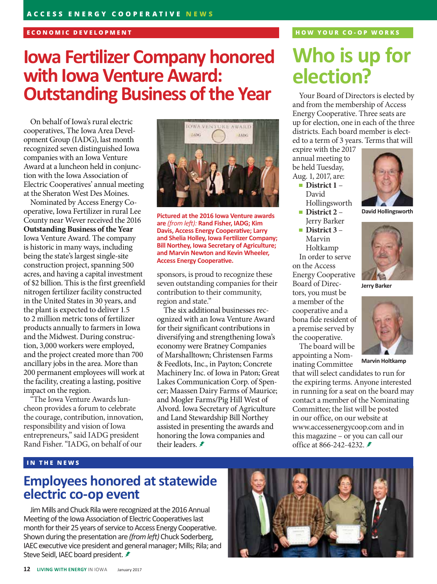### **ECONOMIC DEVELOPMENT**

# **Iowa Fertilizer Company honored with Iowa Venture Award: Outstanding Business of the Year**

On behalf of Iowa's rural electric cooperatives, The Iowa Area Development Group (IADG), last month recognized seven distinguished Iowa companies with an Iowa Venture Award at a luncheon held in conjunction with the Iowa Association of Electric Cooperatives' annual meeting at the Sheraton West Des Moines.

Nominated by Access Energy Cooperative, Iowa Fertilizer in rural Lee County near Wever received the 2016 **Outstanding Business of the Year** Iowa Venture Award. The company is historic in many ways, including being the state's largest single-site construction project, spanning 500 acres, and having a capital investment of \$2 billion. This is the first greenfield nitrogen fertilizer facility constructed in the United States in 30 years, and the plant is expected to deliver 1.5 to 2 million metric tons of fertilizer products annually to farmers in Iowa and the Midwest. During construction, 3,000 workers were employed, and the project created more than 700 ancillary jobs in the area. More than 200 permanent employees will work at the facility, creating a lasting, positive impact on the region.

"The Iowa Venture Awards luncheon provides a forum to celebrate the courage, contribution, innovation, responsibility and vision of Iowa entrepreneurs," said IADG president Rand Fisher. "IADG, on behalf of our



**Pictured at the 2016 Iowa Venture awards are** *(from left):* **Rand Fisher, IADG; Kim Davis, Access Energy Cooperative; Larry and Shelia Holley, Iowa Fertilizer Company; Bill Northey, Iowa Secretary of Agriculture; and Marvin Newton and Kevin Wheeler, Access Energy Cooperative.**

sponsors, is proud to recognize these seven outstanding companies for their contribution to their community, region and state."

The six additional businesses recognized with an Iowa Venture Award for their significant contributions in diversifying and strengthening Iowa's economy were Bratney Companies of Marshalltown; Christensen Farms & Feedlots, Inc., in Payton; Concrete Machinery Inc. of Iowa in Paton; Great Lakes Communication Corp. of Spencer; Maassen Dairy Farms of Maurice; and Mogler Farms/Pig Hill West of Alvord. Iowa Secretary of Agriculture and Land Stewardship Bill Northey assisted in presenting the awards and honoring the Iowa companies and their leaders.

### **HOW YOUR CO-OP WORKS**

# **Who is up for election?**

Your Board of Directors is elected by and from the membership of Access Energy Cooperative. Three seats are up for election, one in each of the three districts. Each board member is elected to a term of 3 years. Terms that will

**David Hollingsworth**

**Jerry Barker**

**Marvin Holtkamp**

expire with the 2017 annual meeting to be held Tuesday, Aug. 1, 2017, are:

- District 1 David Hollingsworth
- **District 2** –
- Jerry Barker ■ District 3 – Marvin Holtkamp

In order to serve on the Access Energy Cooperative Board of Directors, you must be a member of the cooperative and a bona fide resident of a premise served by the cooperative.

The board will be appointing a Nominating Committee

that will select candidates to run for the expiring terms. Anyone interested in running for a seat on the board may contact a member of the Nominating Committee; the list will be posted in our office, on our website at www.accessenergycoop.com and in this magazine – or you can call our office at 866-242-4232. <del>≢</del>

### **IN THE NEWS**

### **Employees honored at statewide electric co-op event**

Jim Mills and Chuck Rila were recognized at the 2016 Annual Meeting of the Iowa Association of Electric Cooperatives last month for their 25 years of service to Access Energy Cooperative. Shown during the presentation are *(from left)* Chuck Soderberg, IAEC executive vice president and general manager; Mills; Rila; and Steve Seidl, IAEC board president. **≢**